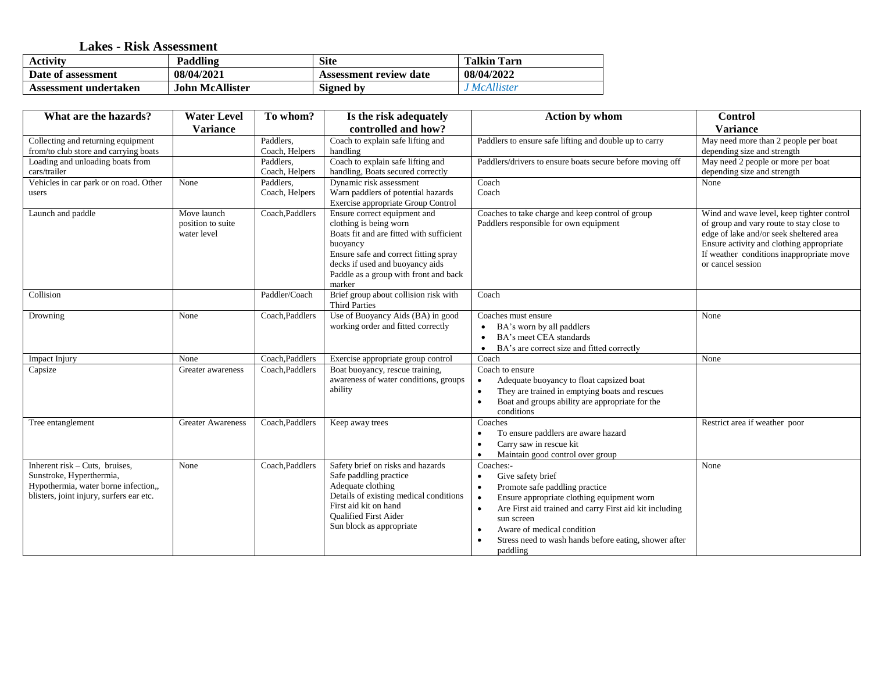## **Lakes - Risk Assessment**

| <b>Activity</b>       | Paddling        | <b>Site</b>                   | <b>Talkin Tarn</b> |
|-----------------------|-----------------|-------------------------------|--------------------|
| Date of assessment    | 08/04/2021      | <b>Assessment review date</b> | 08/04/2022         |
| Assessment undertaken | John McAllister | Signed by                     | <i>McAllister</i>  |

| What are the hazards?                                                                                                                            | <b>Water Level</b>                              | To whom?                    | Is the risk adequately                                                                                                                                                                                                                        | <b>Action by whom</b>                                                                                                                                                                                                                                                                                   | <b>Control</b>                                                                                                                                                                                                                                |
|--------------------------------------------------------------------------------------------------------------------------------------------------|-------------------------------------------------|-----------------------------|-----------------------------------------------------------------------------------------------------------------------------------------------------------------------------------------------------------------------------------------------|---------------------------------------------------------------------------------------------------------------------------------------------------------------------------------------------------------------------------------------------------------------------------------------------------------|-----------------------------------------------------------------------------------------------------------------------------------------------------------------------------------------------------------------------------------------------|
|                                                                                                                                                  | <b>Variance</b>                                 |                             | controlled and how?                                                                                                                                                                                                                           |                                                                                                                                                                                                                                                                                                         | <b>Variance</b>                                                                                                                                                                                                                               |
| Collecting and returning equipment<br>from/to club store and carrying boats                                                                      |                                                 | Paddlers,<br>Coach, Helpers | Coach to explain safe lifting and<br>handling                                                                                                                                                                                                 | Paddlers to ensure safe lifting and double up to carry                                                                                                                                                                                                                                                  | May need more than 2 people per boat<br>depending size and strength                                                                                                                                                                           |
| Loading and unloading boats from<br>cars/trailer                                                                                                 |                                                 | Paddlers,<br>Coach, Helpers | Coach to explain safe lifting and<br>handling, Boats secured correctly                                                                                                                                                                        | Paddlers/drivers to ensure boats secure before moving off                                                                                                                                                                                                                                               | May need 2 people or more per boat<br>depending size and strength                                                                                                                                                                             |
| Vehicles in car park or on road. Other<br>users                                                                                                  | None                                            | Paddlers,<br>Coach, Helpers | Dynamic risk assessment<br>Warn paddlers of potential hazards<br>Exercise appropriate Group Control                                                                                                                                           | Coach<br>Coach                                                                                                                                                                                                                                                                                          | None                                                                                                                                                                                                                                          |
| Launch and paddle                                                                                                                                | Move launch<br>position to suite<br>water level | Coach, Paddlers             | Ensure correct equipment and<br>clothing is being worn<br>Boats fit and are fitted with sufficient<br>buoyancy<br>Ensure safe and correct fitting spray<br>decks if used and buoyancy aids<br>Paddle as a group with front and back<br>marker | Coaches to take charge and keep control of group<br>Paddlers responsible for own equipment                                                                                                                                                                                                              | Wind and wave level, keep tighter control<br>of group and vary route to stay close to<br>edge of lake and/or seek sheltered area<br>Ensure activity and clothing appropriate<br>If weather conditions inappropriate move<br>or cancel session |
| Collision                                                                                                                                        |                                                 | Paddler/Coach               | Brief group about collision risk with<br><b>Third Parties</b>                                                                                                                                                                                 | Coach                                                                                                                                                                                                                                                                                                   |                                                                                                                                                                                                                                               |
| Drowning                                                                                                                                         | None                                            | Coach, Paddlers             | Use of Buoyancy Aids (BA) in good<br>working order and fitted correctly                                                                                                                                                                       | Coaches must ensure<br>BA's worn by all paddlers<br>$\bullet$<br>BA's meet CEA standards<br>$\bullet$<br>BA's are correct size and fitted correctly                                                                                                                                                     | None                                                                                                                                                                                                                                          |
| Impact Injury                                                                                                                                    | None                                            | Coach, Paddlers             | Exercise appropriate group control                                                                                                                                                                                                            | Coach                                                                                                                                                                                                                                                                                                   | None                                                                                                                                                                                                                                          |
| Capsize                                                                                                                                          | Greater awareness                               | Coach, Paddlers             | Boat buoyancy, rescue training,<br>awareness of water conditions, groups<br>ability                                                                                                                                                           | Coach to ensure<br>Adequate buoyancy to float capsized boat<br>$\bullet$<br>They are trained in emptying boats and rescues<br>Boat and groups ability are appropriate for the<br>conditions                                                                                                             |                                                                                                                                                                                                                                               |
| Tree entanglement                                                                                                                                | <b>Greater Awareness</b>                        | Coach, Paddlers             | Keep away trees                                                                                                                                                                                                                               | Coaches<br>To ensure paddlers are aware hazard<br>Carry saw in rescue kit<br>Maintain good control over group                                                                                                                                                                                           | Restrict area if weather poor                                                                                                                                                                                                                 |
| Inherent $risk$ – Cuts, bruises,<br>Sunstroke, Hyperthermia,<br>Hypothermia, water borne infection,,<br>blisters, joint injury, surfers ear etc. | None                                            | Coach, Paddlers             | Safety brief on risks and hazards<br>Safe paddling practice<br>Adequate clothing<br>Details of existing medical conditions<br>First aid kit on hand<br><b>Oualified First Aider</b><br>Sun block as appropriate                               | Coaches:-<br>Give safety brief<br>$\bullet$<br>Promote safe paddling practice<br>Ensure appropriate clothing equipment worn<br>Are First aid trained and carry First aid kit including<br>sun screen<br>Aware of medical condition<br>Stress need to wash hands before eating, shower after<br>paddling | None                                                                                                                                                                                                                                          |